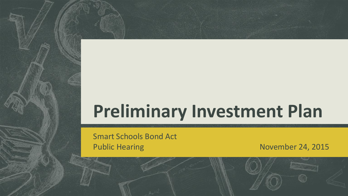# **Preliminary Investment Plan**

Smart Schools Bond Act Public Hearing November 24, 2015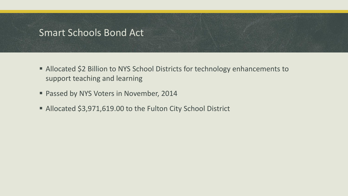### Smart Schools Bond Act

- Allocated \$2 Billion to NYS School Districts for technology enhancements to support teaching and learning
- **Passed by NYS Voters in November, 2014**
- Allocated \$3,971,619.00 to the Fulton City School District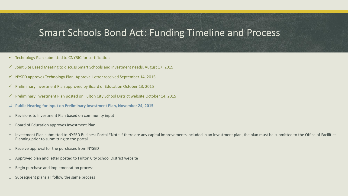# Smart Schools Bond Act: Funding Timeline and Process

- $\checkmark$  Technology Plan submitted to CNYRIC for certification
- $\checkmark$  Joint Site Based Meeting to discuss Smart Schools and investment needs, August 17, 2015
- $\checkmark$  NYSED approves Technology Plan, Approval Letter received September 14, 2015
- $\checkmark$  Preliminary Investment Plan approved by Board of Education October 13, 2015
- $\checkmark$  Preliminary Investment Plan posted on Fulton City School District website October 14, 2015
- **Public Hearing for input on Preliminary Investment Plan, November 24, 2015**
- o Revisions to Investment Plan based on community input
- o Board of Education approves Investment Plan
- o Investment Plan submitted to NYSED Business Portal \*Note if there are any capital improvements included in an investment plan, the plan must be submitted to the Office of Facilities Planning prior to submitting to the portal
- o Receive approval for the purchases from NYSED
- o Approved plan and letter posted to Fulton City School District website
- o Begin purchase and implementation process
- Subsequent plans all follow the same process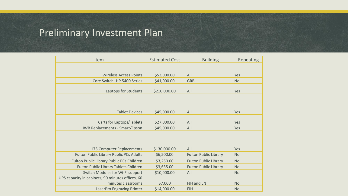# Preliminary Investment Plan

| Item                                             | <b>Estimated Cost</b> | <b>Building</b>              | Repeating |
|--------------------------------------------------|-----------------------|------------------------------|-----------|
|                                                  |                       |                              |           |
| <b>Wireless Access Points</b>                    | \$53,000.00           | All                          | Yes       |
| Core Switch-HP 5400 Series                       | \$41,000.00           | <b>GRB</b>                   | <b>No</b> |
| Laptops for Students                             | \$210,000.00          | All                          | Yes       |
|                                                  |                       |                              |           |
|                                                  |                       |                              |           |
| <b>Tablet Devices</b>                            | \$45,000.00           | All                          | Yes       |
|                                                  |                       |                              |           |
| Carts for Laptops/Tablets                        | \$27,000.00           | All                          | Yes       |
| <b>IWB Replacements - Smart/Epson</b>            | \$45,000.00           | All                          | Yes       |
|                                                  |                       |                              |           |
|                                                  |                       |                              |           |
| 175 Computer Replacements                        | \$130,000.00          | All                          | Yes       |
| <b>Fulton Public Library Public PCs Adults</b>   | \$6,500.00            | <b>Fulton Public Library</b> | <b>No</b> |
| Fulton Public Library Public PCs Children        | \$3,250.00            | <b>Fulton Public Library</b> | <b>No</b> |
| Fulton Public Library Tablets Children           | \$3,635.00            | <b>Fulton Public Library</b> | <b>No</b> |
| Switch Modules for Wi-Fi support                 | \$10,000.00           | All                          | <b>No</b> |
| UPS capacity in cabinets, 90 minutes offices, 60 |                       |                              |           |
| minutes classrooms                               | \$7,000               | FJH and LN                   | <b>No</b> |
| LaserPro Engraving Printer                       | \$14,000.00           | <b>FJH</b>                   | <b>No</b> |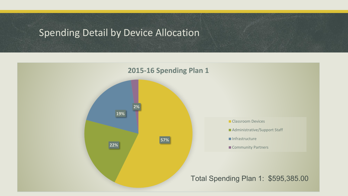# Spending Detail by Device Allocation

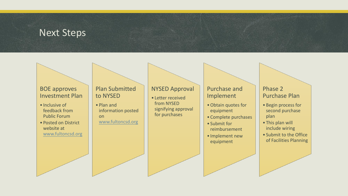### Next Steps

#### BOE approves Investment Plan

- Inclusive of feedback from Public Forum
- Posted on District website at [www.fultoncsd.org](http://www.fultoncsd.org/)

#### Plan Submitted to NYSED

• Plan and information posted on [www.fultoncsd.org](http://www.fultoncsd.org/)

#### NYSED Approval

• Letter received from NYSED signifying approval for purchases

#### Purchase and Implement

- •Obtain quotes for equipment
- Complete purchases
- Submit for reimbursement
- Implement new equipment

#### Phase 2 Purchase Plan

- Begin process for second purchase plan
- This plan will include wiring
- Submit to the Office of Facilities Planning